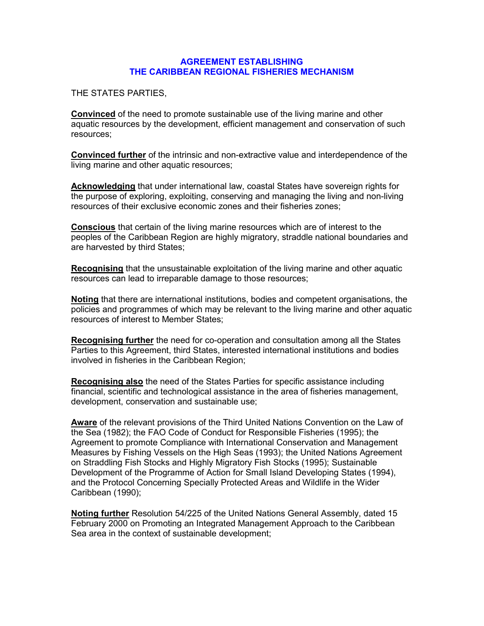#### AGREEMENT ESTABLISHING THE CARIBBEAN REGIONAL FISHERIES MECHANISM

THE STATES PARTIES,

Convinced of the need to promote sustainable use of the living marine and other aquatic resources by the development, efficient management and conservation of such resources;

Convinced further of the intrinsic and non-extractive value and interdependence of the living marine and other aquatic resources;

Acknowledging that under international law, coastal States have sovereign rights for the purpose of exploring, exploiting, conserving and managing the living and non-living resources of their exclusive economic zones and their fisheries zones;

Conscious that certain of the living marine resources which are of interest to the peoples of the Caribbean Region are highly migratory, straddle national boundaries and are harvested by third States;

Recognising that the unsustainable exploitation of the living marine and other aquatic resources can lead to irreparable damage to those resources;

Noting that there are international institutions, bodies and competent organisations, the policies and programmes of which may be relevant to the living marine and other aquatic resources of interest to Member States;

Recognising further the need for co-operation and consultation among all the States Parties to this Agreement, third States, interested international institutions and bodies involved in fisheries in the Caribbean Region;

Recognising also the need of the States Parties for specific assistance including financial, scientific and technological assistance in the area of fisheries management, development, conservation and sustainable use;

Aware of the relevant provisions of the Third United Nations Convention on the Law of the Sea (1982); the FAO Code of Conduct for Responsible Fisheries (1995); the Agreement to promote Compliance with International Conservation and Management Measures by Fishing Vessels on the High Seas (1993); the United Nations Agreement on Straddling Fish Stocks and Highly Migratory Fish Stocks (1995); Sustainable Development of the Programme of Action for Small Island Developing States (1994), and the Protocol Concerning Specially Protected Areas and Wildlife in the Wider Caribbean (1990);

Noting further Resolution 54/225 of the United Nations General Assembly, dated 15 February 2000 on Promoting an Integrated Management Approach to the Caribbean Sea area in the context of sustainable development;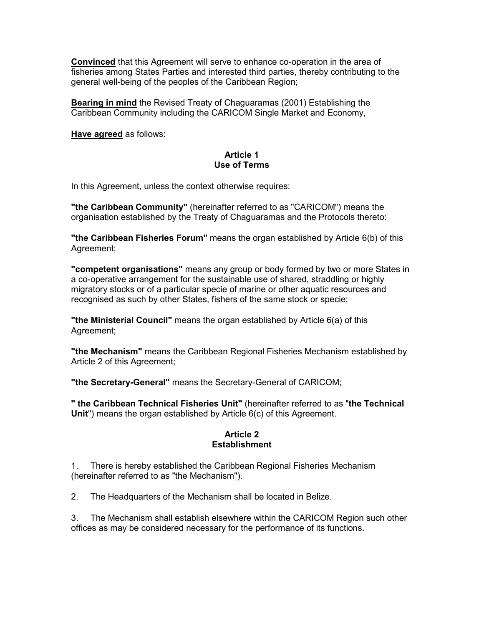Convinced that this Agreement will serve to enhance co-operation in the area of fisheries among States Parties and interested third parties, thereby contributing to the general well-being of the peoples of the Caribbean Region;

Bearing in mind the Revised Treaty of Chaguaramas (2001) Establishing the Caribbean Community including the CARICOM Single Market and Economy,

Have agreed as follows:

## Article 1 Use of Terms

In this Agreement, unless the context otherwise requires:

"the Caribbean Community" (hereinafter referred to as "CARICOM") means the organisation established by the Treaty of Chaguaramas and the Protocols thereto:

"the Caribbean Fisheries Forum" means the organ established by Article 6(b) of this Agreement;

"competent organisations" means any group or body formed by two or more States in a co-operative arrangement for the sustainable use of shared, straddling or highly migratory stocks or of a particular specie of marine or other aquatic resources and recognised as such by other States, fishers of the same stock or specie;

"the Ministerial Council" means the organ established by Article 6(a) of this Agreement;

"the Mechanism" means the Caribbean Regional Fisheries Mechanism established by Article 2 of this Agreement;

"the Secretary-General" means the Secretary-General of CARICOM;

" the Caribbean Technical Fisheries Unit" (hereinafter referred to as "the Technical Unit") means the organ established by Article 6(c) of this Agreement.

#### Article 2 **Establishment**

1. There is hereby established the Caribbean Regional Fisheries Mechanism (hereinafter referred to as "the Mechanism").

2. The Headquarters of the Mechanism shall be located in Belize.

3. The Mechanism shall establish elsewhere within the CARICOM Region such other offices as may be considered necessary for the performance of its functions.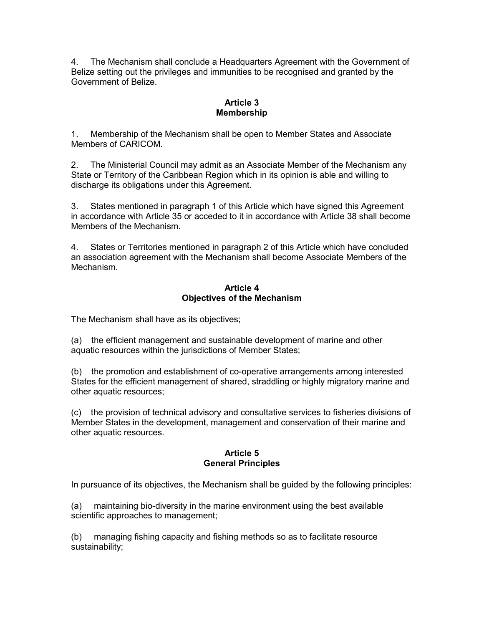4. The Mechanism shall conclude a Headquarters Agreement with the Government of Belize setting out the privileges and immunities to be recognised and granted by the Government of Belize.

## Article 3 Membership

1. Membership of the Mechanism shall be open to Member States and Associate Members of CARICOM.

2. The Ministerial Council may admit as an Associate Member of the Mechanism any State or Territory of the Caribbean Region which in its opinion is able and willing to discharge its obligations under this Agreement.

3. States mentioned in paragraph 1 of this Article which have signed this Agreement in accordance with Article 35 or acceded to it in accordance with Article 38 shall become Members of the Mechanism.

4. States or Territories mentioned in paragraph 2 of this Article which have concluded an association agreement with the Mechanism shall become Associate Members of the Mechanism.

## Article 4 Objectives of the Mechanism

The Mechanism shall have as its objectives;

(a) the efficient management and sustainable development of marine and other aquatic resources within the jurisdictions of Member States;

(b) the promotion and establishment of co-operative arrangements among interested States for the efficient management of shared, straddling or highly migratory marine and other aquatic resources;

(c) the provision of technical advisory and consultative services to fisheries divisions of Member States in the development, management and conservation of their marine and other aquatic resources.

## Article 5 General Principles

In pursuance of its objectives, the Mechanism shall be guided by the following principles:

(a) maintaining bio-diversity in the marine environment using the best available scientific approaches to management;

(b) managing fishing capacity and fishing methods so as to facilitate resource sustainability;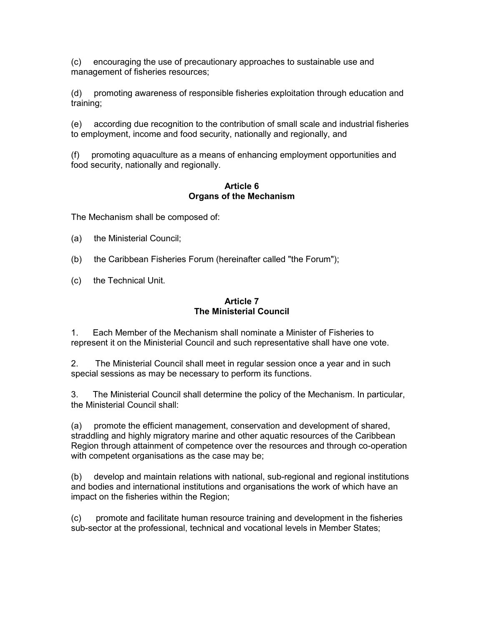(c) encouraging the use of precautionary approaches to sustainable use and management of fisheries resources;

(d) promoting awareness of responsible fisheries exploitation through education and training;

(e) according due recognition to the contribution of small scale and industrial fisheries to employment, income and food security, nationally and regionally, and

(f) promoting aquaculture as a means of enhancing employment opportunities and food security, nationally and regionally.

## Article 6 Organs of the Mechanism

The Mechanism shall be composed of:

- (a) the Ministerial Council;
- (b) the Caribbean Fisheries Forum (hereinafter called "the Forum");
- (c) the Technical Unit.

## Article 7 The Ministerial Council

1. Each Member of the Mechanism shall nominate a Minister of Fisheries to represent it on the Ministerial Council and such representative shall have one vote.

2. The Ministerial Council shall meet in regular session once a year and in such special sessions as may be necessary to perform its functions.

3. The Ministerial Council shall determine the policy of the Mechanism. In particular, the Ministerial Council shall:

(a) promote the efficient management, conservation and development of shared, straddling and highly migratory marine and other aquatic resources of the Caribbean Region through attainment of competence over the resources and through co-operation with competent organisations as the case may be;

(b) develop and maintain relations with national, sub-regional and regional institutions and bodies and international institutions and organisations the work of which have an impact on the fisheries within the Region;

(c) promote and facilitate human resource training and development in the fisheries sub-sector at the professional, technical and vocational levels in Member States;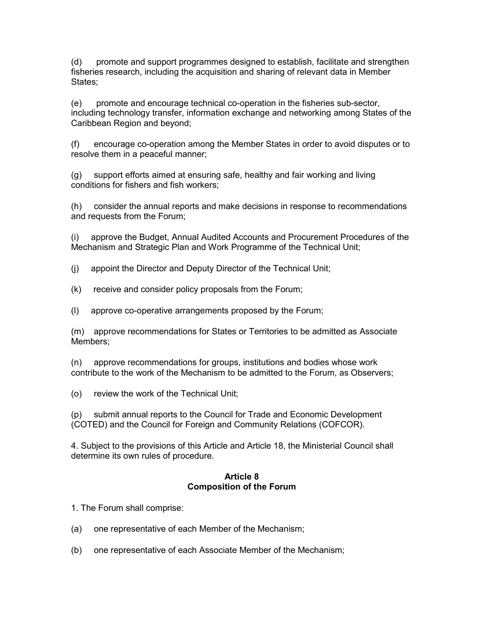(d) promote and support programmes designed to establish, facilitate and strengthen fisheries research, including the acquisition and sharing of relevant data in Member States;

(e) promote and encourage technical co-operation in the fisheries sub-sector, including technology transfer, information exchange and networking among States of the Caribbean Region and beyond;

(f) encourage co-operation among the Member States in order to avoid disputes or to resolve them in a peaceful manner;

(g) support efforts aimed at ensuring safe, healthy and fair working and living conditions for fishers and fish workers;

(h) consider the annual reports and make decisions in response to recommendations and requests from the Forum;

(i) approve the Budget, Annual Audited Accounts and Procurement Procedures of the Mechanism and Strategic Plan and Work Programme of the Technical Unit;

- (j) appoint the Director and Deputy Director of the Technical Unit;
- (k) receive and consider policy proposals from the Forum;
- (l) approve co-operative arrangements proposed by the Forum;

(m) approve recommendations for States or Territories to be admitted as Associate Members;

(n) approve recommendations for groups, institutions and bodies whose work contribute to the work of the Mechanism to be admitted to the Forum, as Observers;

(o) review the work of the Technical Unit;

(p) submit annual reports to the Council for Trade and Economic Development (COTED) and the Council for Foreign and Community Relations (COFCOR).

4. Subject to the provisions of this Article and Article 18, the Ministerial Council shall determine its own rules of procedure.

#### Article 8 Composition of the Forum

1. The Forum shall comprise:

- (a) one representative of each Member of the Mechanism;
- (b) one representative of each Associate Member of the Mechanism;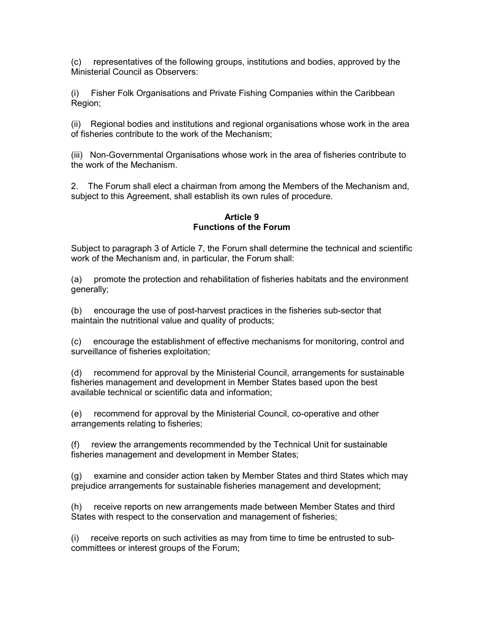(c) representatives of the following groups, institutions and bodies, approved by the Ministerial Council as Observers:

(i) Fisher Folk Organisations and Private Fishing Companies within the Caribbean Region;

(ii) Regional bodies and institutions and regional organisations whose work in the area of fisheries contribute to the work of the Mechanism;

(iii) Non-Governmental Organisations whose work in the area of fisheries contribute to the work of the Mechanism.

2. The Forum shall elect a chairman from among the Members of the Mechanism and, subject to this Agreement, shall establish its own rules of procedure.

#### Article 9 Functions of the Forum

Subject to paragraph 3 of Article 7, the Forum shall determine the technical and scientific work of the Mechanism and, in particular, the Forum shall:

(a) promote the protection and rehabilitation of fisheries habitats and the environment generally;

(b) encourage the use of post-harvest practices in the fisheries sub-sector that maintain the nutritional value and quality of products;

(c) encourage the establishment of effective mechanisms for monitoring, control and surveillance of fisheries exploitation;

(d) recommend for approval by the Ministerial Council, arrangements for sustainable fisheries management and development in Member States based upon the best available technical or scientific data and information;

(e) recommend for approval by the Ministerial Council, co-operative and other arrangements relating to fisheries;

(f) review the arrangements recommended by the Technical Unit for sustainable fisheries management and development in Member States;

(g) examine and consider action taken by Member States and third States which may prejudice arrangements for sustainable fisheries management and development;

(h) receive reports on new arrangements made between Member States and third States with respect to the conservation and management of fisheries;

(i) receive reports on such activities as may from time to time be entrusted to subcommittees or interest groups of the Forum;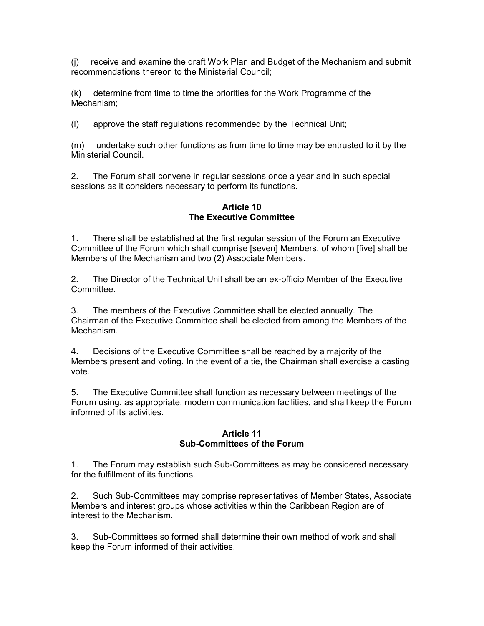(j) receive and examine the draft Work Plan and Budget of the Mechanism and submit recommendations thereon to the Ministerial Council;

(k) determine from time to time the priorities for the Work Programme of the Mechanism;

(l) approve the staff regulations recommended by the Technical Unit;

(m) undertake such other functions as from time to time may be entrusted to it by the Ministerial Council.

2. The Forum shall convene in regular sessions once a year and in such special sessions as it considers necessary to perform its functions.

Article 10 The Executive Committee

1. There shall be established at the first regular session of the Forum an Executive Committee of the Forum which shall comprise [seven] Members, of whom [five] shall be Members of the Mechanism and two (2) Associate Members.

2. The Director of the Technical Unit shall be an ex-officio Member of the Executive Committee.

3. The members of the Executive Committee shall be elected annually. The Chairman of the Executive Committee shall be elected from among the Members of the Mechanism.

4. Decisions of the Executive Committee shall be reached by a majority of the Members present and voting. In the event of a tie, the Chairman shall exercise a casting vote.

5. The Executive Committee shall function as necessary between meetings of the Forum using, as appropriate, modern communication facilities, and shall keep the Forum informed of its activities.

## Article 11 Sub-Committees of the Forum

1. The Forum may establish such Sub-Committees as may be considered necessary for the fulfillment of its functions.

2. Such Sub-Committees may comprise representatives of Member States, Associate Members and interest groups whose activities within the Caribbean Region are of interest to the Mechanism.

3. Sub-Committees so formed shall determine their own method of work and shall keep the Forum informed of their activities.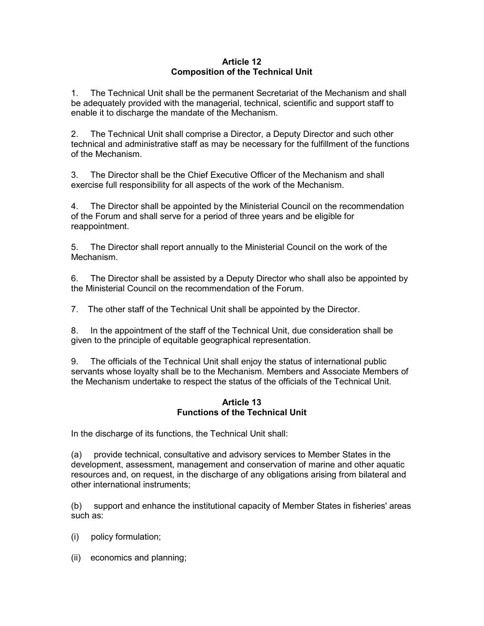## Article 12 Composition of the Technical Unit

1. The Technical Unit shall be the permanent Secretariat of the Mechanism and shall be adequately provided with the managerial, technical, scientific and support staff to enable it to discharge the mandate of the Mechanism.

2. The Technical Unit shall comprise a Director, a Deputy Director and such other technical and administrative staff as may be necessary for the fulfillment of the functions of the Mechanism.

3. The Director shall be the Chief Executive Officer of the Mechanism and shall exercise full responsibility for all aspects of the work of the Mechanism.

4. The Director shall be appointed by the Ministerial Council on the recommendation of the Forum and shall serve for a period of three years and be eligible for reappointment.

5. The Director shall report annually to the Ministerial Council on the work of the Mechanism.

6. The Director shall be assisted by a Deputy Director who shall also be appointed by the Ministerial Council on the recommendation of the Forum.

7. The other staff of the Technical Unit shall be appointed by the Director.

8. In the appointment of the staff of the Technical Unit, due consideration shall be given to the principle of equitable geographical representation.

9. The officials of the Technical Unit shall enjoy the status of international public servants whose loyalty shall be to the Mechanism. Members and Associate Members of the Mechanism undertake to respect the status of the officials of the Technical Unit.

## Article 13 Functions of the Technical Unit

In the discharge of its functions, the Technical Unit shall:

(a) provide technical, consultative and advisory services to Member States in the development, assessment, management and conservation of marine and other aquatic resources and, on request, in the discharge of any obligations arising from bilateral and other international instruments;

(b) support and enhance the institutional capacity of Member States in fisheries' areas such as:

- (i) policy formulation;
- (ii) economics and planning;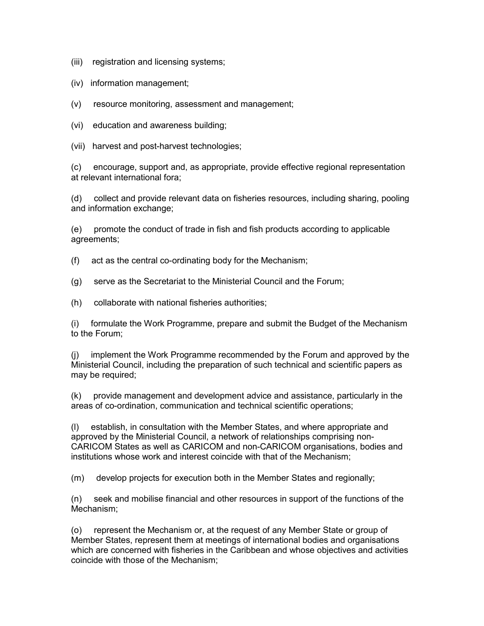(iii) registration and licensing systems;

(iv) information management;

(v) resource monitoring, assessment and management;

(vi) education and awareness building;

(vii) harvest and post-harvest technologies;

(c) encourage, support and, as appropriate, provide effective regional representation at relevant international fora;

(d) collect and provide relevant data on fisheries resources, including sharing, pooling and information exchange;

(e) promote the conduct of trade in fish and fish products according to applicable agreements;

(f) act as the central co-ordinating body for the Mechanism;

(g) serve as the Secretariat to the Ministerial Council and the Forum;

(h) collaborate with national fisheries authorities;

(i) formulate the Work Programme, prepare and submit the Budget of the Mechanism to the Forum;

(j) implement the Work Programme recommended by the Forum and approved by the Ministerial Council, including the preparation of such technical and scientific papers as may be required;

(k) provide management and development advice and assistance, particularly in the areas of co-ordination, communication and technical scientific operations;

(l) establish, in consultation with the Member States, and where appropriate and approved by the Ministerial Council, a network of relationships comprising non-CARICOM States as well as CARICOM and non-CARICOM organisations, bodies and institutions whose work and interest coincide with that of the Mechanism;

(m) develop projects for execution both in the Member States and regionally;

(n) seek and mobilise financial and other resources in support of the functions of the Mechanism;

(o) represent the Mechanism or, at the request of any Member State or group of Member States, represent them at meetings of international bodies and organisations which are concerned with fisheries in the Caribbean and whose objectives and activities coincide with those of the Mechanism;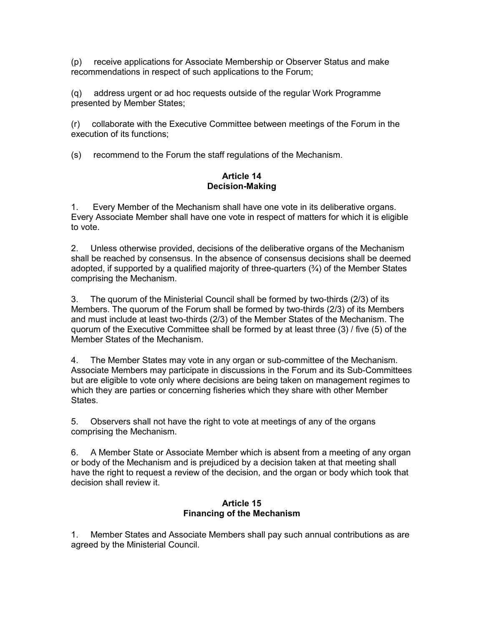(p) receive applications for Associate Membership or Observer Status and make recommendations in respect of such applications to the Forum;

(q) address urgent or ad hoc requests outside of the regular Work Programme presented by Member States;

(r) collaborate with the Executive Committee between meetings of the Forum in the execution of its functions;

(s) recommend to the Forum the staff regulations of the Mechanism.

#### Article 14 Decision-Making

1. Every Member of the Mechanism shall have one vote in its deliberative organs. Every Associate Member shall have one vote in respect of matters for which it is eligible to vote.

2. Unless otherwise provided, decisions of the deliberative organs of the Mechanism shall be reached by consensus. In the absence of consensus decisions shall be deemed adopted, if supported by a qualified majority of three-quarters  $(\frac{3}{4})$  of the Member States comprising the Mechanism.

3. The quorum of the Ministerial Council shall be formed by two-thirds (2/3) of its Members. The quorum of the Forum shall be formed by two-thirds (2/3) of its Members and must include at least two-thirds (2/3) of the Member States of the Mechanism. The quorum of the Executive Committee shall be formed by at least three (3) / five (5) of the Member States of the Mechanism.

4. The Member States may vote in any organ or sub-committee of the Mechanism. Associate Members may participate in discussions in the Forum and its Sub-Committees but are eligible to vote only where decisions are being taken on management regimes to which they are parties or concerning fisheries which they share with other Member States.

5. Observers shall not have the right to vote at meetings of any of the organs comprising the Mechanism.

6. A Member State or Associate Member which is absent from a meeting of any organ or body of the Mechanism and is prejudiced by a decision taken at that meeting shall have the right to request a review of the decision, and the organ or body which took that decision shall review it.

## Article 15 Financing of the Mechanism

1. Member States and Associate Members shall pay such annual contributions as are agreed by the Ministerial Council.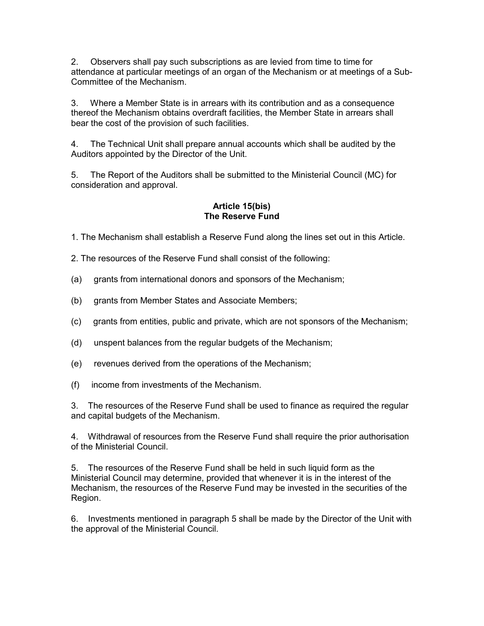2. Observers shall pay such subscriptions as are levied from time to time for attendance at particular meetings of an organ of the Mechanism or at meetings of a Sub-Committee of the Mechanism.

3. Where a Member State is in arrears with its contribution and as a consequence thereof the Mechanism obtains overdraft facilities, the Member State in arrears shall bear the cost of the provision of such facilities.

4. The Technical Unit shall prepare annual accounts which shall be audited by the Auditors appointed by the Director of the Unit.

5. The Report of the Auditors shall be submitted to the Ministerial Council (MC) for consideration and approval.

# Article 15(bis) The Reserve Fund

1. The Mechanism shall establish a Reserve Fund along the lines set out in this Article.

2. The resources of the Reserve Fund shall consist of the following:

- (a) grants from international donors and sponsors of the Mechanism;
- (b) grants from Member States and Associate Members;
- (c) grants from entities, public and private, which are not sponsors of the Mechanism;
- (d) unspent balances from the regular budgets of the Mechanism;
- (e) revenues derived from the operations of the Mechanism;
- (f) income from investments of the Mechanism.

3. The resources of the Reserve Fund shall be used to finance as required the regular and capital budgets of the Mechanism.

4. Withdrawal of resources from the Reserve Fund shall require the prior authorisation of the Ministerial Council.

5. The resources of the Reserve Fund shall be held in such liquid form as the Ministerial Council may determine, provided that whenever it is in the interest of the Mechanism, the resources of the Reserve Fund may be invested in the securities of the Region.

6. Investments mentioned in paragraph 5 shall be made by the Director of the Unit with the approval of the Ministerial Council.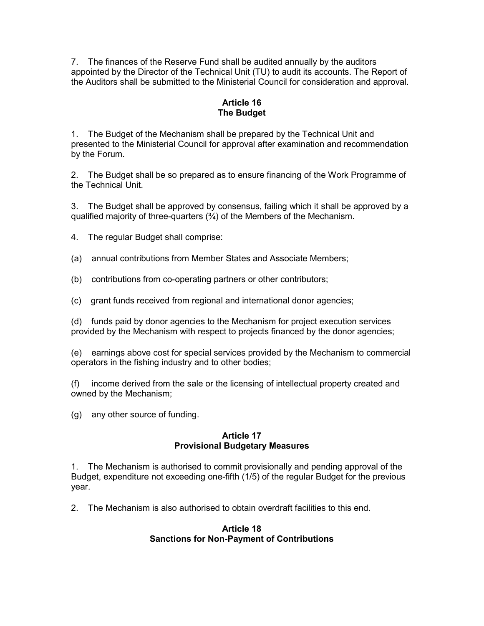7. The finances of the Reserve Fund shall be audited annually by the auditors appointed by the Director of the Technical Unit (TU) to audit its accounts. The Report of the Auditors shall be submitted to the Ministerial Council for consideration and approval.

# Article 16 The Budget

1. The Budget of the Mechanism shall be prepared by the Technical Unit and presented to the Ministerial Council for approval after examination and recommendation by the Forum.

2. The Budget shall be so prepared as to ensure financing of the Work Programme of the Technical Unit.

3. The Budget shall be approved by consensus, failing which it shall be approved by a qualified majority of three-quarters  $(3/4)$  of the Members of the Mechanism.

4. The regular Budget shall comprise:

(a) annual contributions from Member States and Associate Members;

(b) contributions from co-operating partners or other contributors;

(c) grant funds received from regional and international donor agencies;

(d) funds paid by donor agencies to the Mechanism for project execution services provided by the Mechanism with respect to projects financed by the donor agencies;

(e) earnings above cost for special services provided by the Mechanism to commercial operators in the fishing industry and to other bodies;

(f) income derived from the sale or the licensing of intellectual property created and owned by the Mechanism;

(g) any other source of funding.

## Article 17 Provisional Budgetary Measures

1. The Mechanism is authorised to commit provisionally and pending approval of the Budget, expenditure not exceeding one-fifth (1/5) of the regular Budget for the previous year.

2. The Mechanism is also authorised to obtain overdraft facilities to this end.

## Article 18 Sanctions for Non-Payment of Contributions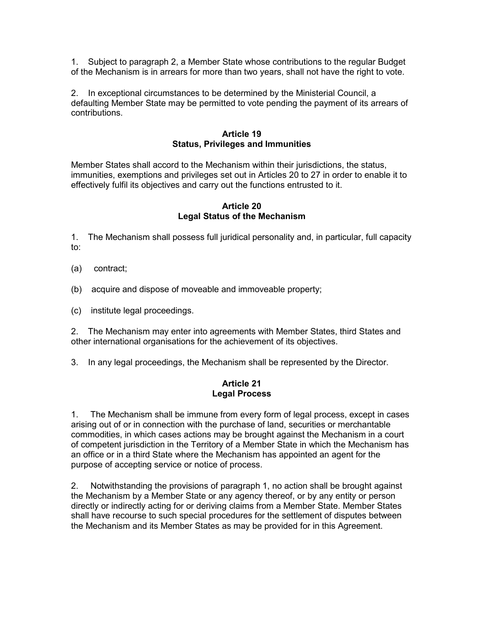1. Subject to paragraph 2, a Member State whose contributions to the regular Budget of the Mechanism is in arrears for more than two years, shall not have the right to vote.

2. In exceptional circumstances to be determined by the Ministerial Council, a defaulting Member State may be permitted to vote pending the payment of its arrears of contributions.

#### Article 19 Status, Privileges and Immunities

Member States shall accord to the Mechanism within their jurisdictions, the status, immunities, exemptions and privileges set out in Articles 20 to 27 in order to enable it to effectively fulfil its objectives and carry out the functions entrusted to it.

## Article 20 Legal Status of the Mechanism

1. The Mechanism shall possess full juridical personality and, in particular, full capacity to:

- (a) contract;
- (b) acquire and dispose of moveable and immoveable property;
- (c) institute legal proceedings.

2. The Mechanism may enter into agreements with Member States, third States and other international organisations for the achievement of its objectives.

3. In any legal proceedings, the Mechanism shall be represented by the Director.

#### Article 21 Legal Process

1. The Mechanism shall be immune from every form of legal process, except in cases arising out of or in connection with the purchase of land, securities or merchantable commodities, in which cases actions may be brought against the Mechanism in a court of competent jurisdiction in the Territory of a Member State in which the Mechanism has an office or in a third State where the Mechanism has appointed an agent for the purpose of accepting service or notice of process.

2. Notwithstanding the provisions of paragraph 1, no action shall be brought against the Mechanism by a Member State or any agency thereof, or by any entity or person directly or indirectly acting for or deriving claims from a Member State. Member States shall have recourse to such special procedures for the settlement of disputes between the Mechanism and its Member States as may be provided for in this Agreement.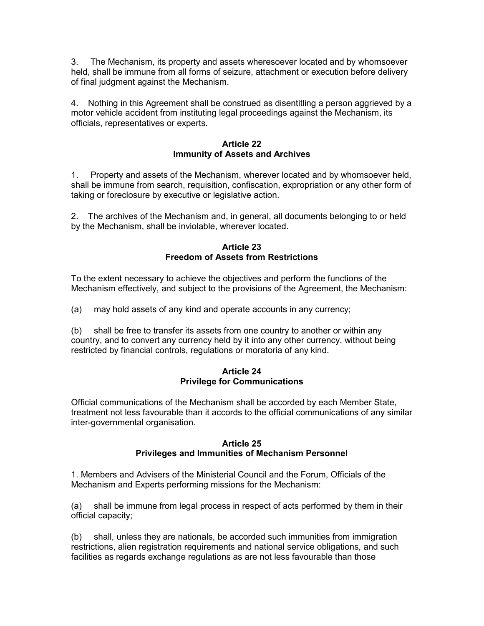3. The Mechanism, its property and assets wheresoever located and by whomsoever held, shall be immune from all forms of seizure, attachment or execution before delivery of final judgment against the Mechanism.

4. Nothing in this Agreement shall be construed as disentitling a person aggrieved by a motor vehicle accident from instituting legal proceedings against the Mechanism, its officials, representatives or experts.

## Article 22 Immunity of Assets and Archives

1. Property and assets of the Mechanism, wherever located and by whomsoever held, shall be immune from search, requisition, confiscation, expropriation or any other form of taking or foreclosure by executive or legislative action.

2. The archives of the Mechanism and, in general, all documents belonging to or held by the Mechanism, shall be inviolable, wherever located.

## Article 23 Freedom of Assets from Restrictions

To the extent necessary to achieve the objectives and perform the functions of the Mechanism effectively, and subject to the provisions of the Agreement, the Mechanism:

(a) may hold assets of any kind and operate accounts in any currency;

(b) shall be free to transfer its assets from one country to another or within any country, and to convert any currency held by it into any other currency, without being restricted by financial controls, regulations or moratoria of any kind.

## Article 24 Privilege for Communications

Official communications of the Mechanism shall be accorded by each Member State, treatment not less favourable than it accords to the official communications of any similar inter-governmental organisation.

## Article 25 Privileges and Immunities of Mechanism Personnel

1. Members and Advisers of the Ministerial Council and the Forum, Officials of the Mechanism and Experts performing missions for the Mechanism:

(a) shall be immune from legal process in respect of acts performed by them in their official capacity;

(b) shall, unless they are nationals, be accorded such immunities from immigration restrictions, alien registration requirements and national service obligations, and such facilities as regards exchange regulations as are not less favourable than those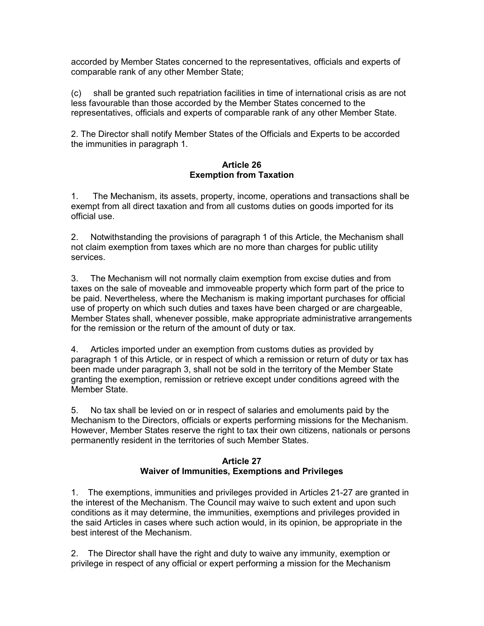accorded by Member States concerned to the representatives, officials and experts of comparable rank of any other Member State;

(c) shall be granted such repatriation facilities in time of international crisis as are not less favourable than those accorded by the Member States concerned to the representatives, officials and experts of comparable rank of any other Member State.

2. The Director shall notify Member States of the Officials and Experts to be accorded the immunities in paragraph 1.

#### Article 26 Exemption from Taxation

1. The Mechanism, its assets, property, income, operations and transactions shall be exempt from all direct taxation and from all customs duties on goods imported for its official use.

2. Notwithstanding the provisions of paragraph 1 of this Article, the Mechanism shall not claim exemption from taxes which are no more than charges for public utility services.

3. The Mechanism will not normally claim exemption from excise duties and from taxes on the sale of moveable and immoveable property which form part of the price to be paid. Nevertheless, where the Mechanism is making important purchases for official use of property on which such duties and taxes have been charged or are chargeable, Member States shall, whenever possible, make appropriate administrative arrangements for the remission or the return of the amount of duty or tax.

4. Articles imported under an exemption from customs duties as provided by paragraph 1 of this Article, or in respect of which a remission or return of duty or tax has been made under paragraph 3, shall not be sold in the territory of the Member State granting the exemption, remission or retrieve except under conditions agreed with the Member State.

5. No tax shall be levied on or in respect of salaries and emoluments paid by the Mechanism to the Directors, officials or experts performing missions for the Mechanism. However, Member States reserve the right to tax their own citizens, nationals or persons permanently resident in the territories of such Member States.

## Article 27 Waiver of Immunities, Exemptions and Privileges

1. The exemptions, immunities and privileges provided in Articles 21-27 are granted in the interest of the Mechanism. The Council may waive to such extent and upon such conditions as it may determine, the immunities, exemptions and privileges provided in the said Articles in cases where such action would, in its opinion, be appropriate in the best interest of the Mechanism.

2. The Director shall have the right and duty to waive any immunity, exemption or privilege in respect of any official or expert performing a mission for the Mechanism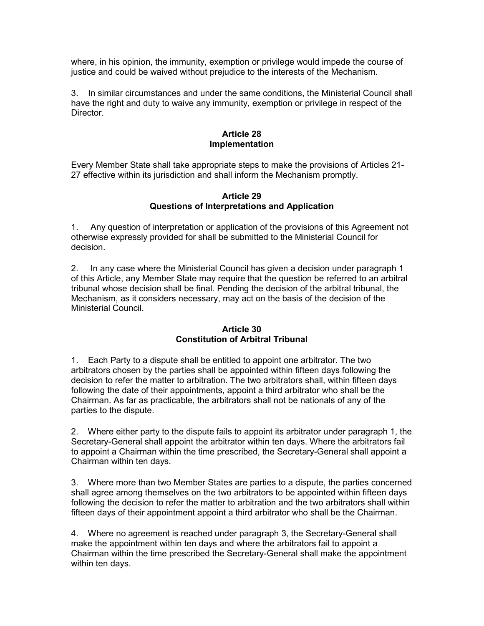where, in his opinion, the immunity, exemption or privilege would impede the course of justice and could be waived without prejudice to the interests of the Mechanism.

3. In similar circumstances and under the same conditions, the Ministerial Council shall have the right and duty to waive any immunity, exemption or privilege in respect of the Director.

## Article 28 **Implementation**

Every Member State shall take appropriate steps to make the provisions of Articles 21- 27 effective within its jurisdiction and shall inform the Mechanism promptly.

## Article 29 Questions of Interpretations and Application

1. Any question of interpretation or application of the provisions of this Agreement not otherwise expressly provided for shall be submitted to the Ministerial Council for decision.

2. In any case where the Ministerial Council has given a decision under paragraph 1 of this Article, any Member State may require that the question be referred to an arbitral tribunal whose decision shall be final. Pending the decision of the arbitral tribunal, the Mechanism, as it considers necessary, may act on the basis of the decision of the Ministerial Council.

## Article 30 Constitution of Arbitral Tribunal

1. Each Party to a dispute shall be entitled to appoint one arbitrator. The two arbitrators chosen by the parties shall be appointed within fifteen days following the decision to refer the matter to arbitration. The two arbitrators shall, within fifteen days following the date of their appointments, appoint a third arbitrator who shall be the Chairman. As far as practicable, the arbitrators shall not be nationals of any of the parties to the dispute.

2. Where either party to the dispute fails to appoint its arbitrator under paragraph 1, the Secretary-General shall appoint the arbitrator within ten days. Where the arbitrators fail to appoint a Chairman within the time prescribed, the Secretary-General shall appoint a Chairman within ten days.

3. Where more than two Member States are parties to a dispute, the parties concerned shall agree among themselves on the two arbitrators to be appointed within fifteen days following the decision to refer the matter to arbitration and the two arbitrators shall within fifteen days of their appointment appoint a third arbitrator who shall be the Chairman.

4. Where no agreement is reached under paragraph 3, the Secretary-General shall make the appointment within ten days and where the arbitrators fail to appoint a Chairman within the time prescribed the Secretary-General shall make the appointment within ten days.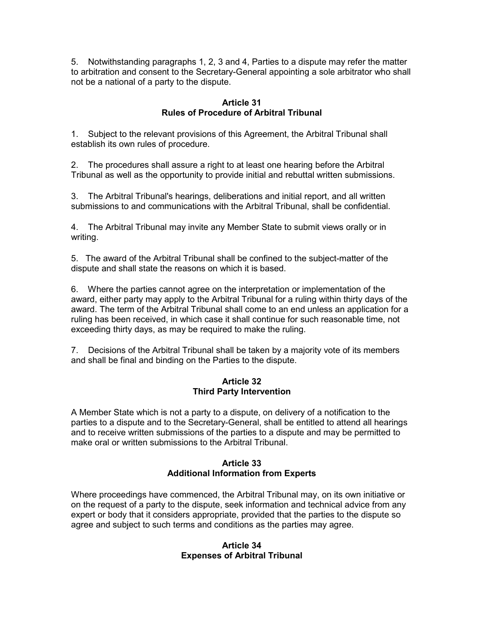5. Notwithstanding paragraphs 1, 2, 3 and 4, Parties to a dispute may refer the matter to arbitration and consent to the Secretary-General appointing a sole arbitrator who shall not be a national of a party to the dispute.

## Article 31 Rules of Procedure of Arbitral Tribunal

1. Subject to the relevant provisions of this Agreement, the Arbitral Tribunal shall establish its own rules of procedure.

2. The procedures shall assure a right to at least one hearing before the Arbitral Tribunal as well as the opportunity to provide initial and rebuttal written submissions.

3. The Arbitral Tribunal's hearings, deliberations and initial report, and all written submissions to and communications with the Arbitral Tribunal, shall be confidential.

4. The Arbitral Tribunal may invite any Member State to submit views orally or in writing.

5. The award of the Arbitral Tribunal shall be confined to the subject-matter of the dispute and shall state the reasons on which it is based.

6. Where the parties cannot agree on the interpretation or implementation of the award, either party may apply to the Arbitral Tribunal for a ruling within thirty days of the award. The term of the Arbitral Tribunal shall come to an end unless an application for a ruling has been received, in which case it shall continue for such reasonable time, not exceeding thirty days, as may be required to make the ruling.

7. Decisions of the Arbitral Tribunal shall be taken by a majority vote of its members and shall be final and binding on the Parties to the dispute.

## Article 32 Third Party Intervention

A Member State which is not a party to a dispute, on delivery of a notification to the parties to a dispute and to the Secretary-General, shall be entitled to attend all hearings and to receive written submissions of the parties to a dispute and may be permitted to make oral or written submissions to the Arbitral Tribunal.

## Article 33 Additional Information from Experts

Where proceedings have commenced, the Arbitral Tribunal may, on its own initiative or on the request of a party to the dispute, seek information and technical advice from any expert or body that it considers appropriate, provided that the parties to the dispute so agree and subject to such terms and conditions as the parties may agree.

#### Article 34 Expenses of Arbitral Tribunal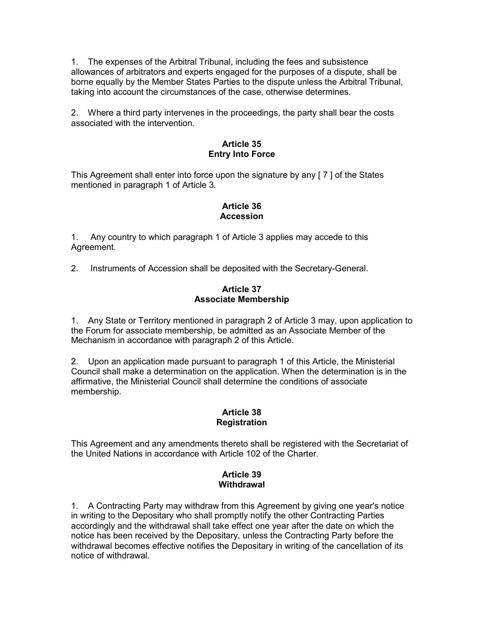1. The expenses of the Arbitral Tribunal, including the fees and subsistence allowances of arbitrators and experts engaged for the purposes of a dispute, shall be borne equally by the Member States Parties to the dispute unless the Arbitral Tribunal, taking into account the circumstances of the case, otherwise determines.

2. Where a third party intervenes in the proceedings, the party shall bear the costs associated with the intervention.

# Article 35 Entry Into Force

This Agreement shall enter into force upon the signature by any [ 7 ] of the States mentioned in paragraph 1 of Article 3.

# Article 36 Accession

1. Any country to which paragraph 1 of Article 3 applies may accede to this Agreement.

2. Instruments of Accession shall be deposited with the Secretary-General.

## Article 37 Associate Membership

1. Any State or Territory mentioned in paragraph 2 of Article 3 may, upon application to the Forum for associate membership, be admitted as an Associate Member of the Mechanism in accordance with paragraph 2 of this Article.

2. Upon an application made pursuant to paragraph 1 of this Article, the Ministerial Council shall make a determination on the application. When the determination is in the affirmative, the Ministerial Council shall determine the conditions of associate membership.

## Article 38 Registration

This Agreement and any amendments thereto shall be registered with the Secretariat of the United Nations in accordance with Article 102 of the Charter.

# Article 39 **Withdrawal**

1. A Contracting Party may withdraw from this Agreement by giving one year's notice in writing to the Depositary who shall promptly notify the other Contracting Parties accordingly and the withdrawal shall take effect one year after the date on which the notice has been received by the Depositary, unless the Contracting Party before the withdrawal becomes effective notifies the Depositary in writing of the cancellation of its notice of withdrawal.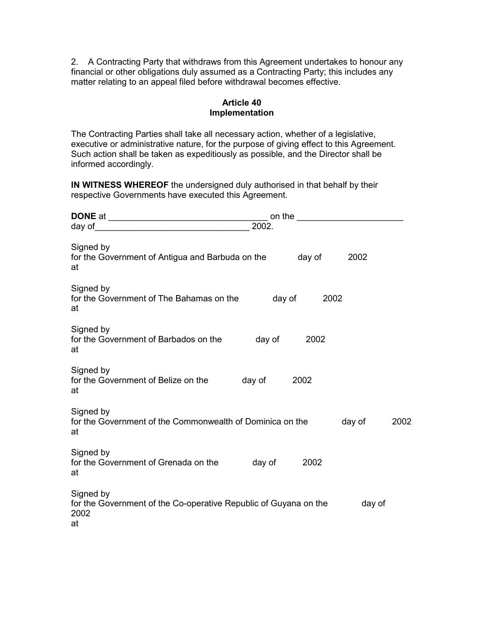2. A Contracting Party that withdraws from this Agreement undertakes to honour any financial or other obligations duly assumed as a Contracting Party; this includes any matter relating to an appeal filed before withdrawal becomes effective.

## Article 40 Implementation

The Contracting Parties shall take all necessary action, whether of a legislative, executive or administrative nature, for the purpose of giving effect to this Agreement. Such action shall be taken as expeditiously as possible, and the Director shall be informed accordingly.

IN WITNESS WHEREOF the undersigned duly authorised in that behalf by their respective Governments have executed this Agreement.

|                                                                                             | 2002.  |      |        |      |
|---------------------------------------------------------------------------------------------|--------|------|--------|------|
| Signed by<br>for the Government of Antigua and Barbuda on the day of<br>at                  |        |      | 2002   |      |
| Signed by<br>for the Government of The Bahamas on the day of<br>at                          |        | 2002 |        |      |
| Signed by<br>for the Government of Barbados on the<br>at                                    | day of | 2002 |        |      |
| Signed by<br>for the Government of Belize on the<br>at                                      | day of | 2002 |        |      |
| Signed by<br>for the Government of the Commonwealth of Dominica on the<br>at                |        |      | day of | 2002 |
| Signed by<br>for the Government of Grenada on the day of<br>at                              |        | 2002 |        |      |
| Signed by<br>for the Government of the Co-operative Republic of Guyana on the<br>2002<br>at |        |      | day of |      |